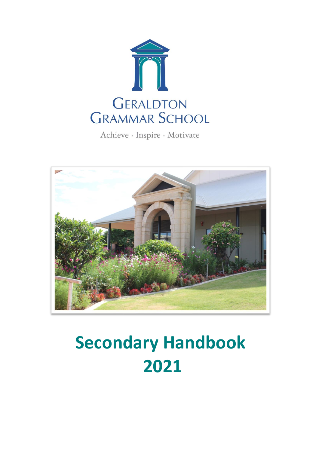

Achieve · Inspire · Motivate



# **Secondary Handbook 2021**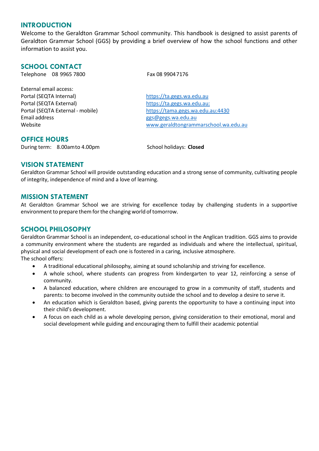# **INTRODUCTION**

Welcome to the Geraldton Grammar School community. This handbook is designed to assist parents of Geraldton Grammar School (GGS) by providing a brief overview of how the school functions and other information to assist you.

## **SCHOOL CONTACT**

Telephone 08 9965 7800 Fax 08 9904 7176 External email access: Portal (SEQTA Internal) [https://ta.gegs.wa.edu.au](https://ta.gegs.wa.edu.au/) Portal (SEQTA External) [https://ta.gegs.wa.edu.au:](https://ta.gegs.wa.edu.au/) Portal (SEQTA External - mobile) https://tama.gegs.wa.edu.au:4430 Email address [ggs@gegs.wa.edu.au](mailto:ggs@gegs.wa.edu.au) Website [www.geraldtongrammarschool.wa.edu.au](http://www.geraldtongrammarschool.wa.edu.au/)

# **OFFICE HOURS**

During term: 8.00amto 4.00pm School holidays: **Closed** 

# **VISION STATEMENT**

Geraldton Grammar School will provide outstanding education and a strong sense of community, cultivating people of integrity, independence of mind and a love of learning.

## **MISSION STATEMENT**

At Geraldton Grammar School we are striving for excellence today by challenging students in a supportive environment to prepare them for the changing world of tomorrow.

# **SCHOOL PHILOSOPHY**

Geraldton Grammar School is an independent, co-educational school in the Anglican tradition. GGS aims to provide a community environment where the students are regarded as individuals and where the intellectual, spiritual, physical and social development of each one is fostered in a caring, inclusive atmosphere. The school offers:

- A traditional educational philosophy, aiming at sound scholarship and striving for excellence.
- A whole school, where students can progress from kindergarten to year 12, reinforcing a sense of community.
- A balanced education, where children are encouraged to grow in a community of staff, students and parents: to become involved in the community outside the school and to develop a desire to serve it.
- An education which is Geraldton based, giving parents the opportunity to have a continuing input into their child's development.
- A focus on each child as a whole developing person, giving consideration to their emotional, moral and social development while guiding and encouraging them to fulfill their academic potential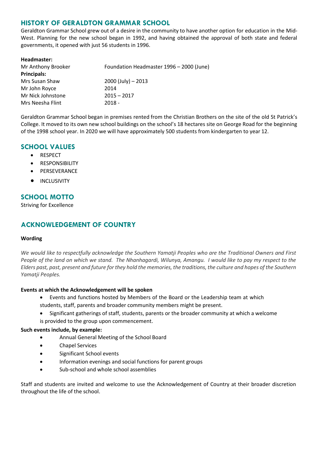# **HISTORY OF GERALDTON GRAMMAR SCHOOL**

Geraldton Grammar School grew out of a desire in the community to have another option for education in the Mid-West. Planning for the new school began in 1992, and having obtained the approval of both state and federal governments, it opened with just 56 students in 1996.

| Foundation Headmaster 1996 - 2000 (June) |
|------------------------------------------|
|                                          |
| $2000$ (July) - 2013                     |
| 2014                                     |
| $2015 - 2017$                            |
| $2018 -$                                 |
|                                          |

Geraldton Grammar School began in premises rented from the Christian Brothers on the site of the old St Patrick's College. It moved to its own new school buildings on the school's 18 hectares site on George Road for the beginning of the 1998 school year. In 2020 we will have approximately 500 students from kindergarten to year 12.

# **SCHOOL VALUES**

- RESPECT
- RESPONSIBILITY
- PERSEVERANCE
- INCLUSIVITY

# **SCHOOL MOTTO**

Striving for Excellence

# **ACKNOWLEDGEMENT OF COUNTRY**

## **Wording**

*We would like to respectfully acknowledge the Southern Yamatji Peoples who are the Traditional Owners and First People of the land on which we stand. The Nhanhagardi, Wilunya, Amangu. I would like to pay my respect to the Elders past, past, present and future for they hold the memories, the traditions, the culture and hopes of the Southern Yamatji Peoples.*

## **Events at which the Acknowledgement will be spoken**

- Events and functions hosted by Members of the Board or the Leadership team at which students, staff, parents and broader community members might be present.
- Significant gatherings of staff, students, parents or the broader community at which a welcome is provided to the group upon commencement.

## **Such events include, by example:**

- Annual General Meeting of the School Board
- Chapel Services
- Significant School events
- Information evenings and social functions for parent groups
- Sub-school and whole school assemblies

Staff and students are invited and welcome to use the Acknowledgement of Country at their broader discretion throughout the life of the school.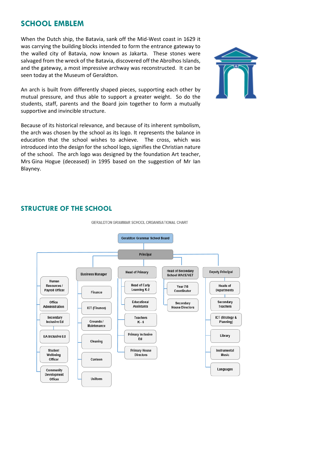# **SCHOOL EMBLEM**

When the Dutch ship, the Batavia, sank off the Mid-West coast in 1629 it was carrying the building blocks intended to form the entrance gateway to the walled city of Batavia, now known as Jakarta. These stones were salvaged from the wreck of the Batavia, discovered off the Abrolhos Islands, and the gateway, a most impressive archway was reconstructed. It can be seen today at the Museum of Geraldton.

An arch is built from differently shaped pieces, supporting each other by mutual pressure, and thus able to support a greater weight. So do the students, staff, parents and the Board join together to form a mutually supportive and invincible structure.



Because of its historical relevance, and because of its inherent symbolism, the arch was chosen by the school as its logo. It represents the balance in education that the school wishes to achieve. The cross, which was introduced into the design for the school logo, signifies the Christian nature of the school. The arch logo was designed by the foundation Art teacher, Mrs Gina Hogue (deceased) in 1995 based on the suggestion of Mr Ian Blayney.

# **STRUCTURE OF THE SCHOOL**



GERALDTON GRAMMAR SCHOOL ORGANISATIONAL CHART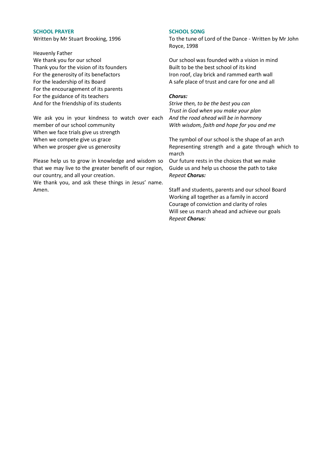#### **SCHOOL PRAYER**

Written by Mr Stuart Brooking, 1996

Heavenly Father We thank you for our school Thank you for the vision of its founders For the generosity of its benefactors For the leadership of its Board For the encouragement of its parents For the guidance of its teachers And for the friendship of its students

We ask you in your kindness to watch over each member of our school community When we face trials give us strength When we compete give us grace When we prosper give us generosity

Please help us to grow in knowledge and wisdom so that we may live to the greater benefit of our region, our country, and all your creation.

We thank you, and ask these things in Jesus' name. Amen.

#### **SCHOOL SONG**

To the tune of Lord of the Dance - Written by Mr John Royce, 1998

Our school was founded with a vision in mind Built to be the best school of its kind Iron roof, clay brick and rammed earth wall A safe place of trust and care for one and all

#### *Chorus:*

*Strive then, to be the best you can Trust in God when you make your plan And the road ahead will be in harmony With wisdom, faith and hope for you and me*

The symbol of our school is the shape of an arch Representing strength and a gate through which to march

Our future rests in the choices that we make Guide us and help us choose the path to take *Repeat Chorus:*

Staff and students, parents and our school Board Working all together as a family in accord Courage of conviction and clarity of roles Will see us march ahead and achieve our goals *Repeat Chorus:*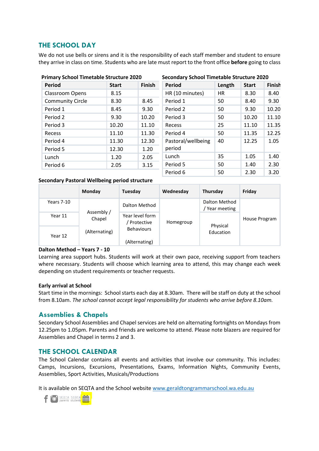# **THE SCHOOL DAY**

We do not use bells or sirens and it is the responsibility of each staff member and student to ensure they arrive in class on time. Students who are late must report to the front office **before** going to class

| Primary School Timetable Structure 2020 |              | Secondary School Timetable Structure 2020 |                    |        |              |        |
|-----------------------------------------|--------------|-------------------------------------------|--------------------|--------|--------------|--------|
| Period                                  | <b>Start</b> | <b>Finish</b>                             | <b>Period</b>      | Length | <b>Start</b> | Finish |
| <b>Classroom Opens</b>                  | 8.15         |                                           | HR (10 minutes)    | HR     | 8.30         | 8.40   |
| <b>Community Circle</b>                 | 8.30         | 8.45                                      | Period 1           | 50     | 8.40         | 9.30   |
| Period 1                                | 8.45         | 9.30                                      | Period 2           | 50     | 9.30         | 10.20  |
| Period 2                                | 9.30         | 10.20                                     | Period 3           | 50     | 10.20        | 11.10  |
| Period 3                                | 10.20        | 11.10                                     | <b>Recess</b>      | 25     | 11.10        | 11.35  |
| Recess                                  | 11.10        | 11.30                                     | Period 4           | 50     | 11.35        | 12.25  |
| Period 4                                | 11.30        | 12.30                                     | Pastoral/wellbeing | 40     | 12.25        | 1.05   |
| Period 5                                | 12.30        | 1.20                                      | period             |        |              |        |
| Lunch                                   | 1.20         | 2.05                                      | Lunch              | 35     | 1.05         | 1.40   |
| Period 6                                | 2.05         | 3.15                                      | Period 5           | 50     | 1.40         | 2.30   |
|                                         |              |                                           | Period 6           | 50     | 2.30         | 3.20   |

#### **Secondary School Timetable Structure 2020**

#### **Secondary Pastoral Wellbeing period structure**

**Primary School Timetable Structure 2020**

|            | Monday               | Tuesday                            | Wednesday | Thursday                      | Friday        |
|------------|----------------------|------------------------------------|-----------|-------------------------------|---------------|
| Years 7-10 | Assembly /<br>Chapel | Dalton Method                      |           | Dalton Method<br>Year meeting |               |
| Year 11    |                      | Year level form<br>/ Protective    | Homegroup | Physical                      | House Program |
| Year 12    | (Alternating)        | <b>Behaviours</b><br>(Alternating) |           | Education                     |               |

#### **Dalton Method – Years 7 - 10**

Learning area support hubs. Students will work at their own pace, receiving support from teachers where necessary. Students will choose which learning area to attend, this may change each week depending on student requirements or teacher requests.

#### **Early arrival at School**

Start time in the mornings: School starts each day at 8.30am. There will be staff on duty at the school from 8.10am. *The school cannot accept legal responsibility for students who arrive before 8.10am.*

## **Assemblies & Chapels**

Secondary School Assemblies and Chapel services are held on alternating fortnights on Mondays from 12.25pm to 1.05pm. Parents and friends are welcome to attend. Please note blazers are required for Assemblies and Chapel in terms 2 and 3.

## **THE SCHOOL CALENDAR**

The School Calendar contains all events and activities that involve our community. This includes: Camps, Incursions, Excursions, Presentations, Exams, Information Nights, Community Events, Assemblies, Sport Activities, Musicals/Productions

It is available on SEQTA and the School website [www.geraldtongrammarschool.wa.edu.au](http://www.geraldtongrammarschool.wa.edu.au/)

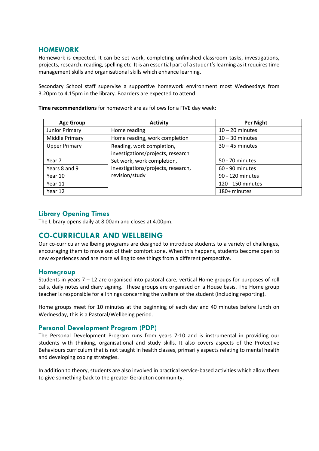## **HOMEWORK**

Homework is expected. It can be set work, completing unfinished classroom tasks, investigations, projects, research, reading, spelling etc. It is an essential part of a student's learning as it requires time management skills and organisational skills which enhance learning.

Secondary School staff supervise a supportive homework environment most Wednesdays from 3.20pm to 4.15pm in the library. Boarders are expected to attend.

| <b>Age Group</b>     | <b>Activity</b>                    | <b>Per Night</b>  |
|----------------------|------------------------------------|-------------------|
| Junior Primary       | Home reading                       | $10 - 20$ minutes |
| Middle Primary       | Home reading, work completion      | $10 - 30$ minutes |
| <b>Upper Primary</b> | Reading, work completion,          | $30 - 45$ minutes |
|                      | investigations/projects, research  |                   |
| Year 7               | Set work, work completion,         | 50 - 70 minutes   |
| Years 8 and 9        | investigations/projects, research, | 60 - 90 minutes   |
| Year 10              | revision/study                     | 90 - 120 minutes  |
| Year 11              |                                    | 120 - 150 minutes |
| Year 12              |                                    | 180+ minutes      |

**Time recommendations** for homework are as follows for a FIVE day week:

# **Library Opening Times**

The Library opens daily at 8.00am and closes at 4.00pm.

# **CO-CURRICULAR AND WELLBEING**

Our co-curricular wellbeing programs are designed to introduce students to a variety of challenges, encouraging them to move out of their comfort zone. When this happens, students become open to new experiences and are more willing to see things from a different perspective.

## **Home**g**roup**

Students in years 7 – 12 are organised into pastoral care, vertical Home groups for purposes of roll calls, daily notes and diary signing. These groups are organised on a House basis. The Home group teacher is responsible for all things concerning the welfare of the student (including reporting).

Home groups meet for 10 minutes at the beginning of each day and 40 minutes before lunch on Wednesday, this is a Pastoral/Wellbeing period.

## **Personal Development Program (PDP)**

The Personal Development Program runs from years 7-10 and is instrumental in providing our students with thinking, organisational and study skills. It also covers aspects of the Protective Behaviours curriculum that is not taught in health classes, primarily aspects relating to mental health and developing coping strategies.

In addition to theory, students are also involved in practical service-based activities which allow them to give something back to the greater Geraldton community.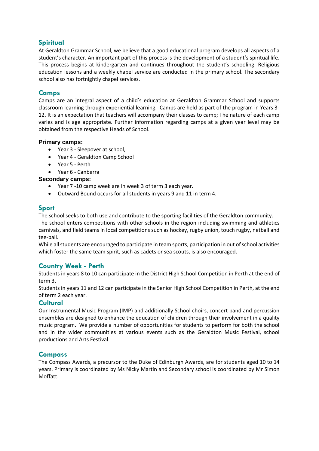# **Spiritual**

At Geraldton Grammar School, we believe that a good educational program develops all aspects of a student's character. An important part of this process is the development of a student's spiritual life. This process begins at kindergarten and continues throughout the student's schooling. Religious education lessons and a weekly chapel service are conducted in the primary school. The secondary school also has fortnightly chapel services.

# **Camps**

Camps are an integral aspect of a child's education at Geraldton Grammar School and supports classroom learning through experiential learning. Camps are held as part of the program in Years 3- 12. It is an expectation that teachers will accompany their classes to camp; The nature of each camp varies and is age appropriate. Further information regarding camps at a given year level may be obtained from the respective Heads of School.

## **Primary camps:**

- Year 3 Sleepover at school,
- Year 4 Geraldton Camp School
- Year 5 Perth
- Year 6 Canberra

## **Secondary camps:**

- Year 7 -10 camp week are in week 3 of term 3 each year.
- Outward Bound occurs for all students in years 9 and 11 in term 4.

# **Sport**

The school seeks to both use and contribute to the sporting facilities of the Geraldton community. The school enters competitions with other schools in the region including swimming and athletics carnivals, and field teams in local competitions such as hockey, rugby union, touch rugby, netball and tee-ball.

While all students are encouraged to participate in team sports, participation in out of school activities which foster the same team spirit, such as cadets or sea scouts, is also encouraged.

# **Country Week - Perth**

Students in years 8 to 10 can participate in the District High School Competition in Perth at the end of term 3.

Students in years 11 and 12 can participate in the Senior High School Competition in Perth, at the end of term 2 each year.

# **Cultural**

Our Instrumental Music Program (IMP) and additionally School choirs, concert band and percussion ensembles are designed to enhance the education of children through their involvement in a quality music program. We provide a number of opportunities for students to perform for both the school and in the wider communities at various events such as the Geraldton Music Festival, school productions and Arts Festival.

# **Compass**

The Compass Awards, a precursor to the Duke of Edinburgh Awards, are for students aged 10 to 14 years. Primary is coordinated by Ms Nicky Martin and Secondary school is coordinated by Mr Simon Moffatt.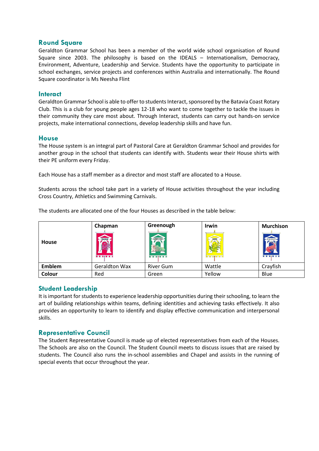## **Round Square**

Geraldton Grammar School has been a member of the world wide school organisation of Round Square since 2003. The philosophy is based on the IDEALS – Internationalism, Democracy, Environment, Adventure, Leadership and Service. Students have the opportunity to participate in school exchanges, service projects and conferences within Australia and internationally. The Round Square coordinator is Ms Neesha Flint

## **Interact**

Geraldton Grammar School is able to offer to students Interact, sponsored by the Batavia Coast Rotary Club. This is a club for young people ages 12-18 who want to come together to tackle the issues in their community they care most about. Through Interact, students can carry out hands-on service projects, make international connections, develop leadership skills and have fun.

## **House**

The House system is an integral part of Pastoral Care at Geraldton Grammar School and provides for another group in the school that students can identify with. Students wear their House shirts with their PE uniform every Friday.

Each House has a staff member as a director and most staff are allocated to a House.

Students across the school take part in a variety of House activities throughout the year including Cross Country, Athletics and Swimming Carnivals.

| House  | Chapman<br>CHAPMAN<br><b>FRITER</b> | Greenough<br>GREENOUGH -<br><b>REAL PROPERTY</b> | <b>Irwin</b><br><b>IRWIN</b><br><b>Entrumbrers</b> | <b>Murchison</b><br><b>RESERVATION</b> |
|--------|-------------------------------------|--------------------------------------------------|----------------------------------------------------|----------------------------------------|
| Emblem | <b>Geraldton Wax</b>                | <b>River Gum</b>                                 | Wattle                                             | Crayfish                               |
| Colour | Red                                 | Green                                            | Yellow                                             | Blue                                   |

The students are allocated one of the four Houses as described in the table below:

# **Student Leadership**

It is important for students to experience leadership opportunities during their schooling, to learn the art of building relationships within teams, defining identities and achieving tasks effectively. It also provides an opportunity to learn to identify and display effective communication and interpersonal skills.

# **Representative Council**

The Student Representative Council is made up of elected representatives from each of the Houses. The Schools are also on the Council. The Student Council meets to discuss issues that are raised by students. The Council also runs the in-school assemblies and Chapel and assists in the running of special events that occur throughout the year.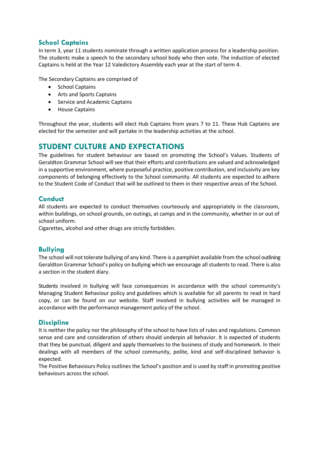# **School Captains**

In term 3, year 11 students nominate through a written application process for a leadership position. The students make a speech to the secondary school body who then vote. The induction of elected Captains is held at the Year 12 Valedictory Assembly each year at the start of term 4.

The Secondary Captains are comprised of

- School Captains
- Arts and Sports Captains
- Service and Academic Captains
- House Captains

Throughout the year, students will elect Hub Captains from years 7 to 11. These Hub Captains are elected for the semester and will partake in the leadership activities at the school.

# **STUDENT CULTURE AND EXPECTATIONS**

The guidelines for student behaviour are based on promoting the School's Values. Students of Geraldton Grammar School will see that their efforts and contributions are valued and acknowledged in a supportive environment, where purposeful practice, positive contribution, and inclusivity are key components of belonging effectively to the School community. All students are expected to adhere to the Student Code of Conduct that will be outlined to them in their respective areas of the School.

# **Conduct**

All students are expected to conduct themselves courteously and appropriately in the classroom, within buildings, on school grounds, on outings, at camps and in the community, whether in or out of school uniform.

Cigarettes, alcohol and other drugs are strictly forbidden.

# **Bullying**

The school will not tolerate bullying of any kind. There is a pamphlet available from the school outlining Geraldton Grammar School's policy on bullying which we encourage all students to read. There is also a section in the student diary.

Students involved in bullying will face consequences in accordance with the school community's Managing Student Behaviour policy and guidelines which is available for all parents to read in hard copy, or can be found on our website. Staff involved in bullying activities will be managed in accordance with the performance management policy of the school.

# **Discipline**

It is neither the policy nor the philosophy of the school to have lists of rules and regulations. Common sense and care and consideration of others should underpin all behavior. It is expected of students that they be punctual, diligent and apply themselves to the business of study and homework. In their dealings with all members of the school community, polite, kind and self-disciplined behavior is expected.

The Positive Behaviours Policy outlines the School's position and is used by staff in promoting positive behaviours across the school.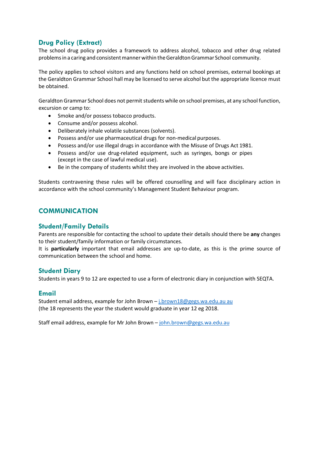# **Drug Policy (Extract)**

The school drug policy provides a framework to address alcohol, tobacco and other drug related problems in a caring and consistent manner within the Geraldton Grammar School community.

The policy applies to school visitors and any functions held on school premises, external bookings at the Geraldton Grammar School hall may be licensed to serve alcohol but the appropriate licence must be obtained.

Geraldton Grammar School does not permit students while on school premises, at any school function, excursion or camp to:

- Smoke and/or possess tobacco products.
- Consume and/or possess alcohol.
- Deliberately inhale volatile substances (solvents).
- Possess and/or use pharmaceutical drugs for non-medical purposes.
- Possess and/or use illegal drugs in accordance with the Misuse of Drugs Act 1981.
- Possess and/or use drug-related equipment, such as syringes, bongs or pipes (except in the case of lawful medical use).
- Be in the company of students whilst they are involved in the above activities.

Students contravening these rules will be offered counselling and will face disciplinary action in accordance with the school community's Management Student Behaviour program.

# **COMMUNICATION**

## **Student/Family Details**

Parents are responsible for contacting the school to update their details should there be **any** changes to their student/family information or family circumstances.

It is **particularly** important that email addresses are up-to-date, as this is the prime source of communication between the school and home.

## **Student Diary**

Students in years 9 to 12 are expected to use a form of electronic diary in conjunction with SEQTA.

## **Email**

Student email address, example for John Brown – [j.brown18@gegs.wa.edu.au au](mailto:j.brown18@gegs.wa.edu.au%20au) (the 18 represents the year the student would graduate in year 12 eg 2018.

Staff email address, example for Mr John Brown – [john.brown@gegs.wa.edu.au](mailto:john.brown@gegs.wa.edu.au)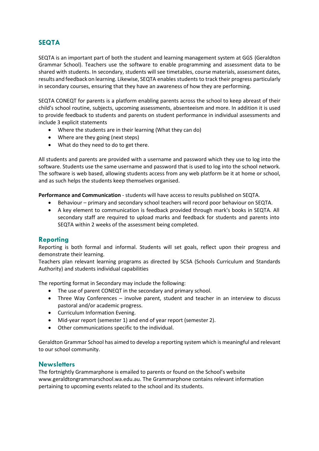# **SEQTA**

SEQTA is an important part of both the student and learning management system at GGS (Geraldton Grammar School). Teachers use the software to enable programming and assessment data to be shared with students. In secondary, students will see timetables, course materials, assessment dates, results and feedback on learning. Likewise, SEQTA enables students to track their progress particularly in secondary courses, ensuring that they have an awareness of how they are performing.

SEQTA CONEQT for parents is a platform enabling parents across the school to keep abreast of their child's school routine, subjects, upcoming assessments, absenteeism and more. In addition it is used to provide feedback to students and parents on student performance in individual assessments and include 3 explicit statements

- Where the students are in their learning (What they can do)
- Where are they going (next steps)
- What do they need to do to get there.

All students and parents are provided with a username and password which they use to log into the software. Students use the same username and password that is used to log into the school network. The software is web based, allowing students access from any web platform be it at home or school, and as such helps the students keep themselves organised.

**Performance and Communication** - students will have access to results published on SEQTA.

- Behaviour primary and secondary school teachers will record poor behaviour on SEQTA.
- A key element to communication is feedback provided through mark's books in SEQTA. All secondary staff are required to upload marks and feedback for students and parents into SEQTA within 2 weeks of the assessment being completed.

# **Reporting**

Reporting is both formal and informal. Students will set goals, reflect upon their progress and demonstrate their learning.

Teachers plan relevant learning programs as directed by SCSA (Schools Curriculum and Standards Authority) and students individual capabilities

The reporting format in Secondary may include the following:

- The use of parent CONEQT in the secondary and primary school.
- Three Way Conferences involve parent, student and teacher in an interview to discuss pastoral and/or academic progress.
- Curriculum Information Evening.
- Mid-year report (semester 1) and end of year report (semester 2).
- Other communications specific to the individual.

Geraldton Grammar School has aimed to develop a reporting system which is meaningful and relevant to our school community.

## **Newsletters**

The fortnightly Grammarphone is emailed to parents or found on the School's website [www.geraldtongrammarschool.wa.edu.au.](http://www.geraldtongrammarschool.wa.edu.au/) The Grammarphone contains relevant information pertaining to upcoming events related to the school and its students.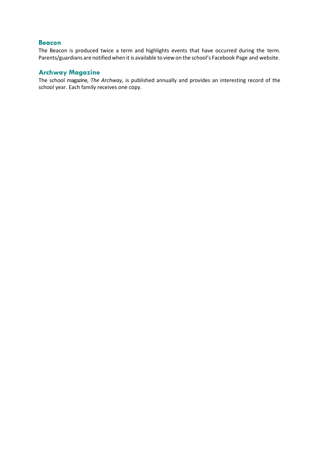## **Beacon**

The Beacon is produced twice a term and highlights events that have occurred during the term. Parents/guardians are notified when it is available to view on the school's Facebook Page and website.

## **Archway Magazine**

The school magazine, *The Archway,* is published annually and provides an interesting record of the school year. Each family receives one copy.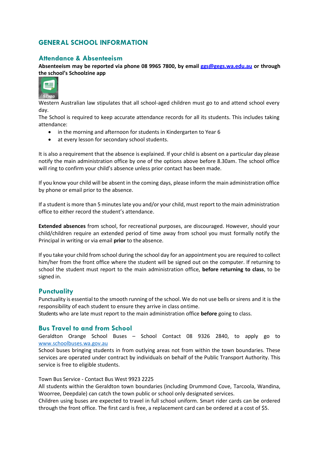# **GENERAL SCHOOL INFORMATION**

## **Attendance & Absenteeism**

**Absenteeism may be reported via phone 08 9965 7800, by email [ggs@gegs.wa.edu.au](mailto:ggs@gegs.wa.edu.au) or through the school's Schoolzine app**



Western Australian law stipulates that all school-aged children must go to and attend school every day.

The School is required to keep accurate attendance records for all its students. This includes taking attendance:

- in the morning and afternoon for students in Kindergarten to Year 6
- at every lesson for secondary school students.

It is also a requirement that the absence is explained. If your child is absent on a particular day please notify the main administration office by one of the options above before 8.30am. The school office will ring to confirm your child's absence unless prior contact has been made.

If you know your child will be absent in the coming days, please inform the main administration office by phone or email prior to the absence.

If a student is more than 5 minutes late you and/or your child, must report to the main administration office to either record the student's attendance.

**Extended absences** from school, for recreational purposes, are discouraged. However, should your child/children require an extended period of time away from school you must formally notify the Principal in writing or via email **prior** to the absence.

If you take your child from school during the school day for an appointment you are required to collect him/her from the front office where the student will be signed out on the computer. If returning to school the student must report to the main administration office, **before returning to class**, to be signed in.

# **Punctuality**

Punctuality is essential to the smooth running of the school. We do not use bells or sirens and it is the responsibility of each student to ensure they arrive in class ontime.

Students who are late must report to the main administration office **before** going to class.

## **Bus Travel to and from School**

Geraldton Orange School Buses – School Contact 08 9326 2840, to apply go to [www.schoolbuses.wa.gov.au](http://www.schoolbuses.wa.gov.au/)

School buses bringing students in from outlying areas not from within the town boundaries. These services are operated under contract by individuals on behalf of the Public Transport Authority. This service is free to eligible students.

#### Town Bus Service - Contact Bus West 9923 2225

All students within the Geraldton town boundaries (including Drummond Cove, Tarcoola, Wandina, Woorree, Deepdale) can catch the town public or school only designated services.

Children using buses are expected to travel in full school uniform. Smart rider cards can be ordered through the front office. The first card is free, a replacement card can be ordered at a cost of \$5.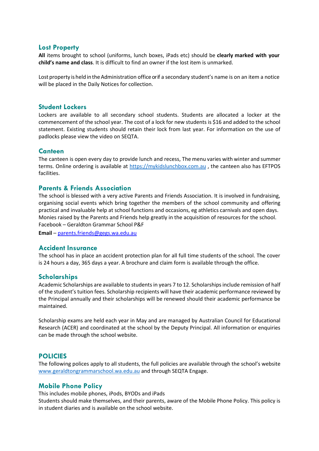## **Lost Property**

**All** items brought to school (uniforms, lunch boxes, iPads etc) should be **clearly marked with your child's name and class**. It is difficult to find an owner if the lost item is unmarked.

Lost property is held in the Administration office or if a secondary student's name is on an item a notice will be placed in the Daily Notices for collection.

#### **Student Lockers**

Lockers are available to all secondary school students. Students are allocated a locker at the commencement of the school year. The cost of a lock for new students is \$16 and added to the school statement. Existing students should retain their lock from last year. For information on the use of padlocks please view the video on SEQTA.

#### **Canteen**

The canteen is open every day to provide lunch and recess, The menu varies with winter and summer terms. Online ordering is available at [https://mykidslunchbox.com.au](https://mykidslunchbox.com.au/), the canteen also has EFTPOS facilities.

## **Parents & Friends Association**

The school is blessed with a very active Parents and Friends Association. It is involved in fundraising, organising social events which bring together the members of the school community and offering practical and invaluable help at school functions and occasions, eg athletics carnivals and open days. Monies raised by the Parents and Friends help greatly in the acquisition of resources for the school. Facebook – Geraldton Grammar School P&F

**Email** – [parents.friends@gegs.wa.edu.au](mailto:parents.friends@gegs.wa.edu.au)

#### **Accident Insurance**

The school has in place an accident protection plan for all full time students of the school. The cover is 24 hours a day, 365 days a year. A brochure and claim form is available through the office.

#### **Scholarships**

Academic Scholarships are available to students in years 7 to 12. Scholarships include remission of half of the student's tuition fees. Scholarship recipients will have their academic performance reviewed by the Principal annually and their scholarships will be renewed should their academic performance be maintained.

Scholarship exams are held each year in May and are managed by Australian Council for Educational Research (ACER) and coordinated at the school by the Deputy Principal. All information or enquiries can be made through the school website.

#### **POLICIES**

The following polices apply to all students, the full policies are available through the school's website www.geraldtongrammarschool.wa.edu.au and through SEQTA Engage.

#### **Mobile Phone Policy**

This includes mobile phones, iPods, BYODs and iPads

Students should make themselves, and their parents, aware of the Mobile Phone Policy. This policy is in student diaries and is available on the school website.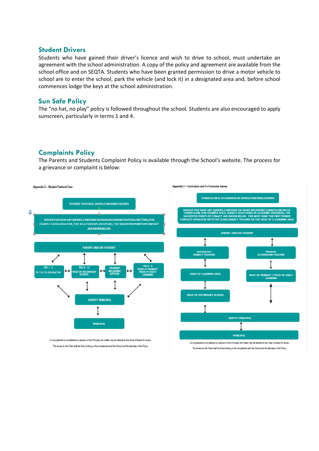#### **Student Drivers**

Students who have gained their driver's licence and wish to drive to school, must undertake an agreement with the school administration. A copy of the policy and agreement are available from the school office and on SEQTA. Students who have been granted permission to drive a motor vehicle to school are to enter the school, park the vehicle (and lock it) in a designated area and, before school commences lodge the keys at the school administration.

#### **Sun Safe Policy**

The "no hat, no play" policy is followed throughout the school. Students are also encouraged to apply sunscreen, particularly in terms 1 and 4.

# **Complaints Policy**

The Parents and Students Complaint Policy is available through the School's website. The process for a grievance or complaint is below:

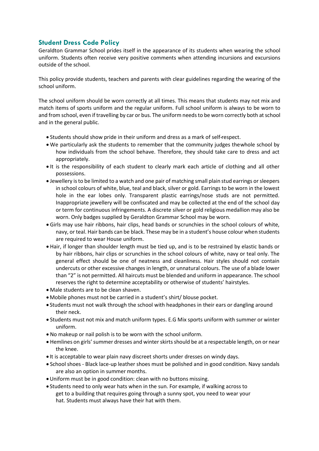# **Student Dress Code Policy**

Geraldton Grammar School prides itself in the appearance of its students when wearing the school uniform. Students often receive very positive comments when attending incursions and excursions outside of the school.

This policy provide students, teachers and parents with clear guidelines regarding the wearing of the school uniform.

The school uniform should be worn correctly at all times. This means that students may not mix and match items of sports uniform and the regular uniform. Full school uniform is always to be worn to and from school, even if travelling by car or bus. The uniform needs to be worn correctly both at school and in the general public.

- Students should show pride in their uniform and dress as a mark of self-respect.
- We particularly ask the students to remember that the community judges thewhole school by how individuals from the school behave. Therefore, they should take care to dress and act appropriately.
- It is the responsibility of each student to clearly mark each article of clothing and all other possessions.
- Jewellery is to be limited to a watch and one pair of matching small plain stud earrings or sleepers in school colours of white, blue, teal and black, silver or gold. Earrings to be worn in the lowest hole in the ear lobes only. Transparent plastic earrings/nose studs are not permitted. Inappropriate jewellery will be confiscated and may be collected at the end of the school day or term for continuous infringements. A discrete silver or gold religious medallion may also be worn. Only badges supplied by Geraldton Grammar School may be worn.
- Girls may use hair ribbons, hair clips, head bands or scrunchies in the school colours of white, navy, or teal. Hair bands can be black. These may be in a student's house colour when students are required to wear House uniform.
- Hair, if longer than shoulder length must be tied up, and is to be restrained by elastic bands or by hair ribbons, hair clips or scrunchies in the school colours of white, navy or teal only. The general effect should be one of neatness and cleanliness. Hair styles should not contain undercuts or other excessive changes in length, or unnatural colours. The use of a blade lower than "2" is not permitted. All haircuts must be blended and uniform in appearance. The school reserves the right to determine acceptability or otherwise of students' hairstyles.
- Male students are to be clean shaven.
- Mobile phones must not be carried in a student's shirt/ blouse pocket.
- Students must not walk through the school with headphones in their ears or dangling around their neck.
- Students must not mix and match uniform types. E.G Mix sports uniform with summer or winter uniform.
- No makeup or nail polish is to be worn with the school uniform.
- Hemlines on girls' summer dresses and winter skirts should be at a respectable length, on or near the knee.
- It is acceptable to wear plain navy discreet shorts under dresses on windy days.
- School shoes Black lace-up leather shoes must be polished and in good condition. Navy sandals are also an option in summer months.
- •Uniform must be in good condition: clean with no buttons missing.
- Students need to only wear hats when in the sun. For example, if walking across to get to a building that requires going through a sunny spot, you need to wear your hat. Students must always have their hat with them.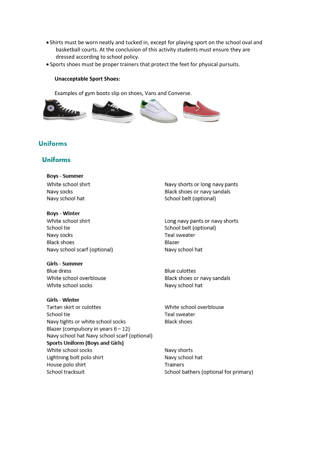- Shirts must be worn neatly and tucked in, except for playing sport on the school oval and basketball courts. At the conclusion of this activity students must ensure they are dressed according to school policy.
- Sports shoes must be proper trainers that protect the feet for physical pursuits.

#### **Unacceptable Sport Shoes:**

Examples of gym boots slip on shoes, Vans and Converse.



# **Uniforms**

# **Uniforms**

**Boys - Summer** White school shirt Navy socks Navy school hat

**Boys - Winter** White school shirt School tie Navy socks Black shoes Navy school scarf (optional)

Girls - Summer **Blue dress** White school overblouse White school socks

**Girls - Winter** Tartan skirt or culottes School tie Navy tights or white school socks Blazer (compulsory in years 6-12) Navy school hat Navy school scarf (optional) **Sports Uniform (Boys and Girls)** White school socks Lightning bolt polo shirt House polo shirt School tracksuit

Navy shorts or long navy pants Black shoes or navy sandals School belt (optional)

Long navy pants or navy shorts School belt (optional) Teal sweater Blazer Navy school hat

**Blue culottes** Black shoes or navy sandals Navy school hat

White school overblouse Teal sweater Black shoes

Navy shorts Navy school hat Trainers School bathers (optional for primary)